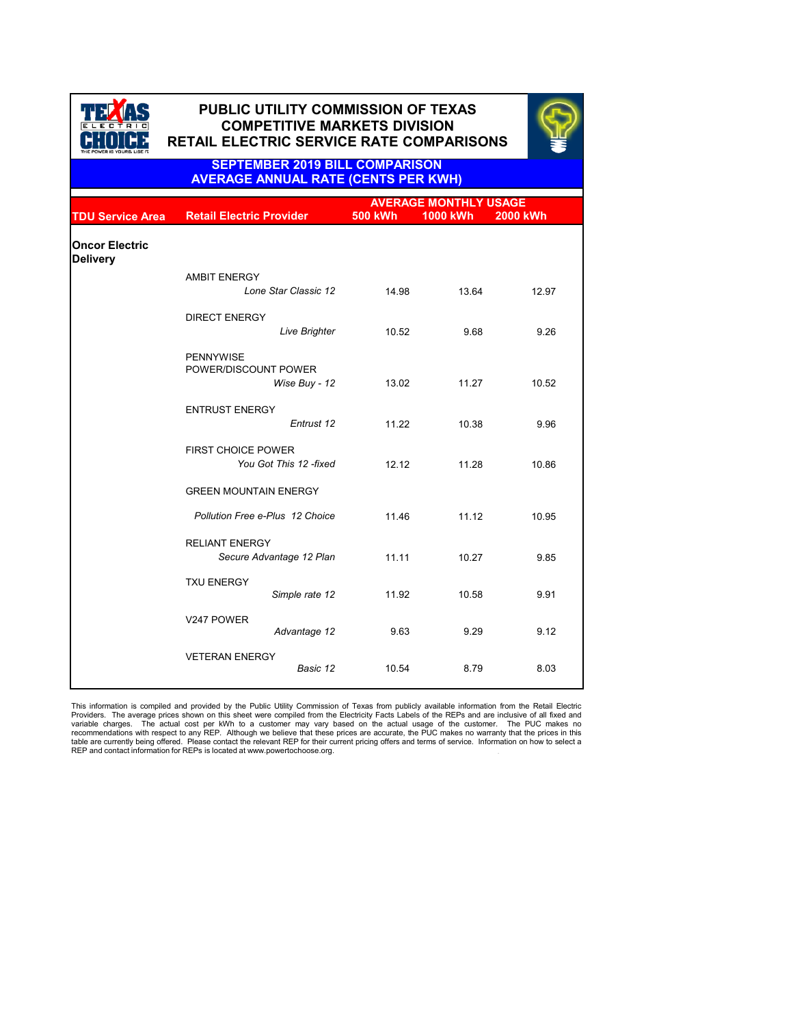|                                          |                                                    | <b>AVERAGE MONTHLY USAGE</b> |                 |          |  |
|------------------------------------------|----------------------------------------------------|------------------------------|-----------------|----------|--|
| <b>TDU Service Area</b>                  | <b>Retail Electric Provider</b>                    | <b>500 kWh</b>               | <b>1000 kWh</b> | 2000 kWh |  |
| <b>Oncor Electric</b><br><b>Delivery</b> |                                                    |                              |                 |          |  |
|                                          | <b>AMBIT ENERGY</b>                                |                              |                 |          |  |
|                                          | Lone Star Classic 12                               | 14.98                        | 13.64           | 12.97    |  |
|                                          | <b>DIRECT ENERGY</b>                               |                              |                 |          |  |
|                                          | <b>Live Brighter</b>                               | 10.52                        | 9.68            | 9.26     |  |
|                                          | <b>PENNYWISE</b><br>POWER/DISCOUNT POWER           |                              |                 |          |  |
|                                          | Wise Buy - 12                                      | 13.02                        | 11.27           | 10.52    |  |
|                                          | <b>ENTRUST ENERGY</b><br>Entrust 12                | 11.22                        | 10.38           | 9.96     |  |
|                                          | <b>FIRST CHOICE POWER</b><br>You Got This 12-fixed | 12.12                        | 11.28           | 10.86    |  |
|                                          | <b>GREEN MOUNTAIN ENERGY</b>                       |                              |                 |          |  |
|                                          | <b>Pollution Free e-Plus 12 Choice</b>             | 11.46                        | 11.12           | 10.95    |  |
|                                          | <b>RELIANT ENERGY</b><br>Secure Advantage 12 Plan  | 11.11                        | 10.27           | 9.85     |  |
|                                          | <b>TXU ENERGY</b><br>Simple rate 12                | 11.92                        | 10.58           | 9.91     |  |
|                                          | V247 POWER<br>Advantage 12                         | 9.63                         | 9.29            | 9.12     |  |
|                                          | <b>VETERAN ENERGY</b><br>Basic 12                  | 10.54                        | 8.79            | 8.03     |  |



# **PUBLIC UTILITY COMMISSION OF TEXAS PUBLIC UTILITY COMMISSION OF TEXAS COMPETITIVE MARKETS DIVISION COMPETITIVE MARKETS DIVISION RETAIL ELECTRIC SERVICE RATE COMPARISONS RETAIL ELECTRIC SERVICE RATE COMPARISONS**



. This information is compiled and provided by the Public Utility Commission of Texas from publicly available information from the Retail Electric Providers. The average prices shown on this sheet were compiled from the Electricity Facts Labels of the REPs and are inclusive of all fixed and variable charges. The actual cost per kWh to a customer may vary based on the actual usage of the customer. The PUC makes no recommendations with respect to any REP. Although we believe that these prices are accurate, the PUC makes no warranty that the prices in this table are currently being offered. Please contact the relevant REP for their current pricing offers and terms of service. Information on how to select a REP and contact information for REPs is located at www.powertochoose.org.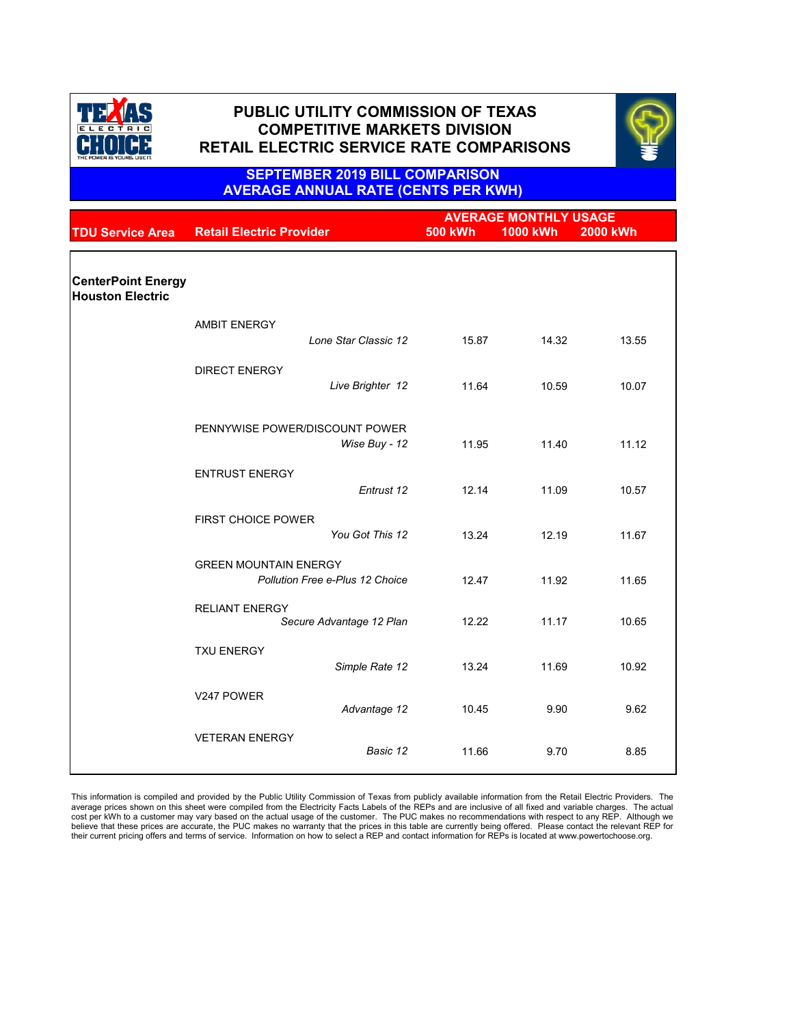|                                                      |                                                                        | <b>AVERAGE MONTHLY USAGE</b> |                 |                 |
|------------------------------------------------------|------------------------------------------------------------------------|------------------------------|-----------------|-----------------|
| <b>TDU Service Area</b>                              | <b>Retail Electric Provider</b>                                        | <b>500 kWh</b>               | <b>1000 kWh</b> | <b>2000 kWh</b> |
|                                                      |                                                                        |                              |                 |                 |
| <b>CenterPoint Energy</b><br><b>Houston Electric</b> |                                                                        |                              |                 |                 |
|                                                      | <b>AMBIT ENERGY</b>                                                    |                              |                 |                 |
|                                                      | Lone Star Classic 12                                                   | 15.87                        | 14.32           | 13.55           |
|                                                      | <b>DIRECT ENERGY</b>                                                   |                              |                 |                 |
|                                                      | Live Brighter 12                                                       | 11.64                        | 10.59           | 10.07           |
|                                                      |                                                                        |                              |                 |                 |
|                                                      | PENNYWISE POWER/DISCOUNT POWER<br>Wise Buy - 12                        | 11.95                        | 11.40           | 11.12           |
|                                                      |                                                                        |                              |                 |                 |
|                                                      | <b>ENTRUST ENERGY</b><br>Entrust 12                                    | 12.14                        | 11.09           | 10.57           |
|                                                      |                                                                        |                              |                 |                 |
|                                                      | <b>FIRST CHOICE POWER</b><br>You Got This 12                           | 13.24                        | 12.19           | 11.67           |
|                                                      |                                                                        |                              |                 |                 |
|                                                      | <b>GREEN MOUNTAIN ENERGY</b><br><b>Pollution Free e-Plus 12 Choice</b> | 12.47                        | 11.92           | 11.65           |
|                                                      |                                                                        |                              |                 |                 |
|                                                      | <b>RELIANT ENERGY</b><br>Secure Advantage 12 Plan                      | 12.22                        | 11.17           | 10.65           |
|                                                      | <b>TXU ENERGY</b>                                                      |                              |                 |                 |
|                                                      | Simple Rate 12                                                         | 13.24                        | 11.69           | 10.92           |

| V247 POWER            | Advantage 12 | 10.45 | 9.90 | 9.62 |
|-----------------------|--------------|-------|------|------|
| <b>VETERAN ENERGY</b> | Basic 12     | 11.66 | 9.70 | 8.85 |

This information is compiled and provided by the Public Utility Commission of Texas from publicly available information from the Retail Electric Providers. The average prices shown on this sheet were compiled from the Electricity Facts Labels of the REPs and are inclusive of all fixed and variable charges. The actual cost per kWh to a customer may vary based on the actual usage of the customer. The PUC makes no recommendations with respect to any REP. Although we believe that these prices are accurate, the PUC makes no warranty that the prices in this table are currently being offered. Please contact the relevant REP for their current pricing offers and terms of service. Information on how to select a REP and contact information for REPs is located at www.powertochoose.org.



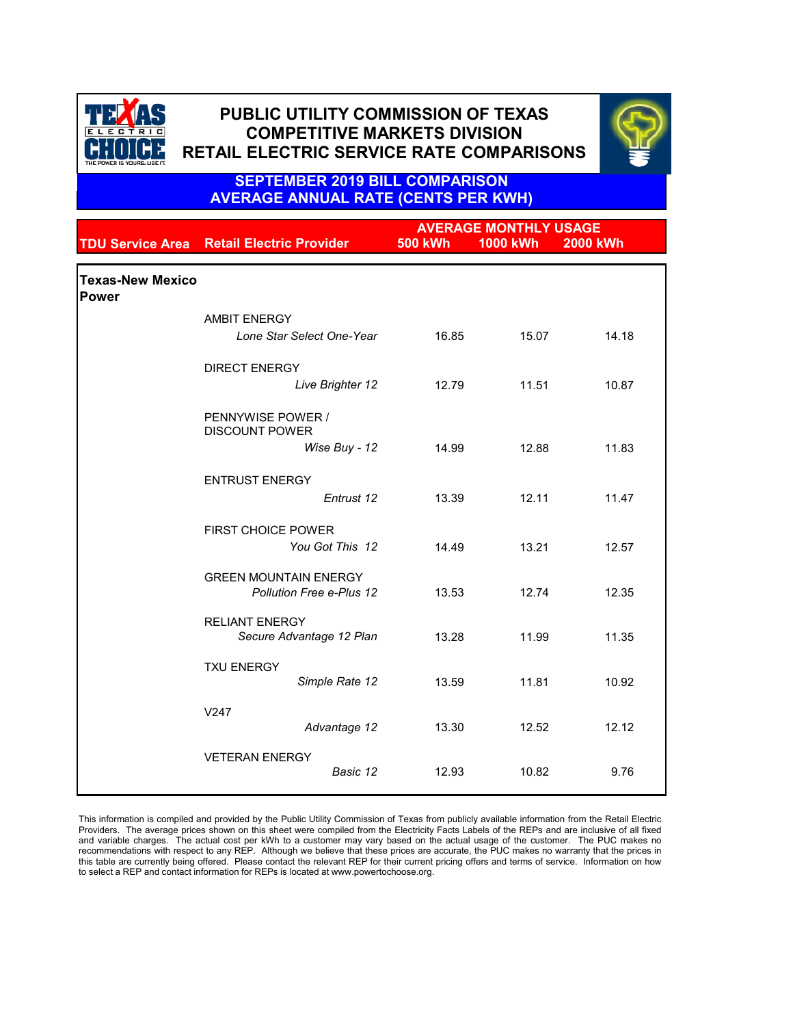|                                         | <b>AVERAGE MONTHLY USAGE</b>                                    |                |                 |                 |
|-----------------------------------------|-----------------------------------------------------------------|----------------|-----------------|-----------------|
|                                         | <b>TDU Service Area Retail Electric Provider</b>                | <b>500 kWh</b> | <b>1000 kWh</b> | <b>2000 kWh</b> |
| <b>Texas-New Mexico</b><br><b>Power</b> |                                                                 |                |                 |                 |
|                                         | <b>AMBIT ENERGY</b>                                             |                |                 |                 |
|                                         | Lone Star Select One-Year                                       | 16.85          | 15.07           | 14.18           |
|                                         | <b>DIRECT ENERGY</b>                                            |                |                 |                 |
|                                         | Live Brighter 12                                                | 12.79          | 11.51           | 10.87           |
|                                         | PENNYWISE POWER /<br><b>DISCOUNT POWER</b>                      |                |                 |                 |
|                                         | Wise Buy - 12                                                   | 14.99          | 12.88           | 11.83           |
|                                         | <b>ENTRUST ENERGY</b>                                           |                |                 |                 |
|                                         | Entrust 12                                                      | 13.39          | 12.11           | 11.47           |
|                                         | <b>FIRST CHOICE POWER</b><br>You Got This 12                    | 14.49          | 13.21           | 12.57           |
|                                         |                                                                 |                |                 |                 |
|                                         | <b>GREEN MOUNTAIN ENERGY</b><br><b>Pollution Free e-Plus 12</b> | 13.53          | 12.74           | 12.35           |
|                                         | <b>RELIANT ENERGY</b><br>Secure Advantage 12 Plan               | 13.28          | 11.99           | 11.35           |
|                                         | <b>TXU ENERGY</b><br>Simple Rate 12                             | 13.59          | 11.81           | 10.92           |
|                                         | V247<br>Advantage 12                                            | 13.30          | 12.52           | 12.12           |

| <b>VETERAN ENERGY</b> |               |       |       |      |
|-----------------------|---------------|-------|-------|------|
|                       | Basic 12<br>← | 12.93 | 10.82 | 9.76 |
|                       |               |       |       |      |

This information is compiled and provided by the Public Utility Commission of Texas from publicly available information from the Retail Electric Providers. The average prices shown on this sheet were compiled from the Electricity Facts Labels of the REPs and are inclusive of all fixed and variable charges. The actual cost per kWh to a customer may vary based on the actual usage of the customer. The PUC makes no recommendations with respect to any REP. Although we believe that these prices are accurate, the PUC makes no warranty that the prices in this table are currently being offered. Please contact the relevant REP for their current pricing offers and terms of service. Information on how to select a REP and contact information for REPs is located at www.powertochoose.org.



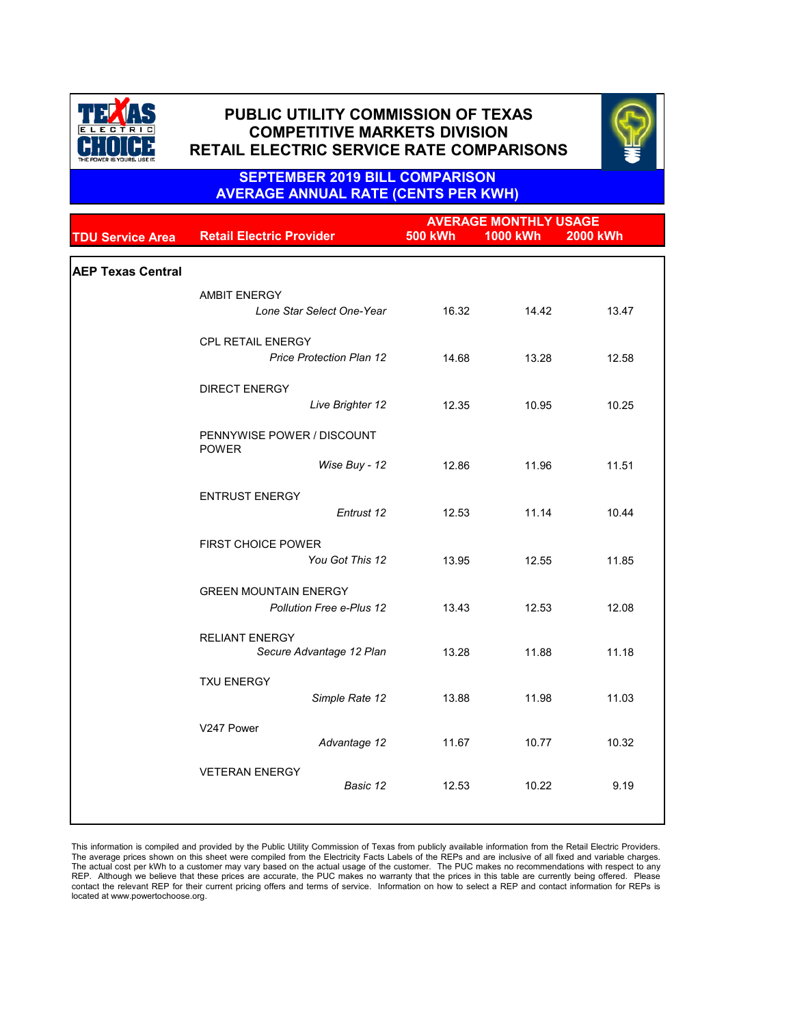|                          |                                                   | <b>AVERAGE MONTHLY USAGE</b> |                 |          |  |
|--------------------------|---------------------------------------------------|------------------------------|-----------------|----------|--|
| <b>TDU Service Area</b>  | <b>Retail Electric Provider</b>                   | <b>500 kWh</b>               | <b>1000 kWh</b> | 2000 kWh |  |
|                          |                                                   |                              |                 |          |  |
| <b>AEP Texas Central</b> |                                                   |                              |                 |          |  |
|                          | <b>AMBIT ENERGY</b>                               |                              |                 |          |  |
|                          | Lone Star Select One-Year                         | 16.32                        | 14.42           | 13.47    |  |
|                          | <b>CPL RETAIL ENERGY</b>                          |                              |                 |          |  |
|                          | <b>Price Protection Plan 12</b>                   | 14.68                        | 13.28           | 12.58    |  |
|                          |                                                   |                              |                 |          |  |
|                          | <b>DIRECT ENERGY</b>                              |                              |                 |          |  |
|                          | Live Brighter 12                                  | 12.35                        | 10.95           | 10.25    |  |
|                          | PENNYWISE POWER / DISCOUNT<br><b>POWER</b>        |                              |                 |          |  |
|                          | Wise Buy - 12                                     | 12.86                        | 11.96           | 11.51    |  |
|                          | <b>ENTRUST ENERGY</b>                             |                              |                 |          |  |
|                          | Entrust 12                                        | 12.53                        | 11.14           | 10.44    |  |
|                          |                                                   |                              |                 |          |  |
|                          | <b>FIRST CHOICE POWER</b>                         |                              |                 |          |  |
|                          | You Got This 12                                   | 13.95                        | 12.55           | 11.85    |  |
|                          | <b>GREEN MOUNTAIN ENERGY</b>                      |                              |                 |          |  |
|                          | <b>Pollution Free e-Plus 12</b>                   | 13.43                        | 12.53           | 12.08    |  |
|                          |                                                   |                              |                 |          |  |
|                          | <b>RELIANT ENERGY</b><br>Secure Advantage 12 Plan | 13.28                        | 11.88           | 11.18    |  |
|                          |                                                   |                              |                 |          |  |
|                          | <b>TXU ENERGY</b>                                 |                              |                 |          |  |
|                          | Simple Rate 12                                    | 13.88                        | 11.98           | 11.03    |  |
|                          | V247 Power                                        |                              |                 |          |  |
|                          | Advantage 12                                      | 11.67                        | 10.77           | 10.32    |  |
|                          | <b>VETERAN ENERGY</b>                             |                              |                 |          |  |
|                          | Basic 12                                          | 12.53                        | 10.22           | 9.19     |  |
|                          |                                                   |                              |                 |          |  |
|                          |                                                   |                              |                 |          |  |

This information is compiled and provided by the Public Utility Commission of Texas from publicly available information from the Retail Electric Providers. The average prices shown on this sheet were compiled from the Electricity Facts Labels of the REPs and are inclusive of all fixed and variable charges. The actual cost per kWh to a customer may vary based on the actual usage of the customer. The PUC makes no recommendations with respect to any REP. Although we believe that these prices are accurate, the PUC makes no warranty that the prices in this table are currently being offered. Please contact the relevant REP for their current pricing offers and terms of service. Information on how to select a REP and contact information for REPs is located at www.powertochoose.org.